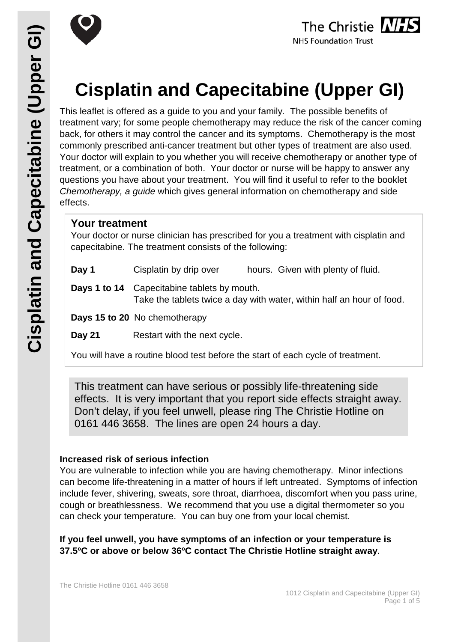



# **Cisplatin and Capecitabine (Upper GI)**

This leaflet is offered as a guide to you and your family. The possible benefits of treatment vary; for some people chemotherapy may reduce the risk of the cancer coming back, for others it may control the cancer and its symptoms. Chemotherapy is the most commonly prescribed anti-cancer treatment but other types of treatment are also used. Your doctor will explain to you whether you will receive chemotherapy or another type of treatment, or a combination of both. Your doctor or nurse will be happy to answer any questions you have about your treatment. You will find it useful to refer to the booklet *Chemotherapy, a guide* which gives general information on chemotherapy and side effects.

## **Your treatment**

Your doctor or nurse clinician has prescribed for you a treatment with cisplatin and capecitabine. The treatment consists of the following:

| Day 1  | Cisplatin by drip over                                                                                                      | hours. Given with plenty of fluid.                                              |  |
|--------|-----------------------------------------------------------------------------------------------------------------------------|---------------------------------------------------------------------------------|--|
|        | <b>Days 1 to 14</b> Capecitabine tablets by mouth.<br>Take the tablets twice a day with water, within half an hour of food. |                                                                                 |  |
|        | Days 15 to 20 No chemotherapy                                                                                               |                                                                                 |  |
| Day 21 | Restart with the next cycle.                                                                                                |                                                                                 |  |
|        |                                                                                                                             | You will have a routine blood test before the start of each cycle of treatment. |  |

This treatment can have serious or possibly life-threatening side effects. It is very important that you report side effects straight away. Don't delay, if you feel unwell, please ring The Christie Hotline on 0161 446 3658. The lines are open 24 hours a day.

#### **Increased risk of serious infection**

You are vulnerable to infection while you are having chemotherapy. Minor infections can become life-threatening in a matter of hours if left untreated. Symptoms of infection include fever, shivering, sweats, sore throat, diarrhoea, discomfort when you pass urine, cough or breathlessness. We recommend that you use a digital thermometer so you can check your temperature. You can buy one from your local chemist.

**If you feel unwell, you have symptoms of an infection or your temperature is 37.5ºC or above or below 36ºC contact The Christie Hotline straight away**.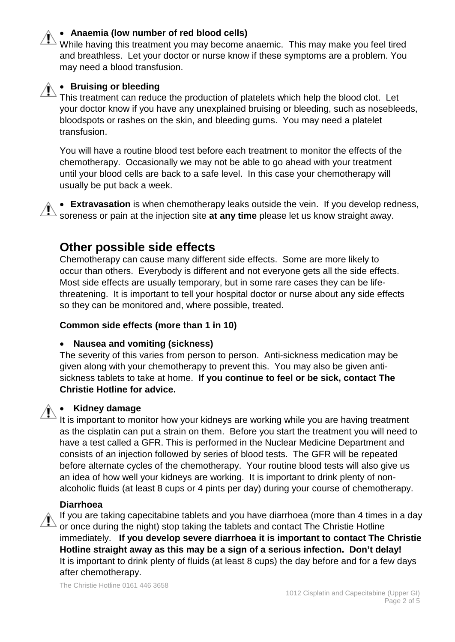#### • **Anaemia (low number of red blood cells)**

While having this treatment you may become anaemic. This may make you feel tired and breathless. Let your doctor or nurse know if these symptoms are a problem. You may need a blood transfusion.



#### • **Bruising or bleeding**

This treatment can reduce the production of platelets which help the blood clot. Let your doctor know if you have any unexplained bruising or bleeding, such as nosebleeds, bloodspots or rashes on the skin, and bleeding gums. You may need a platelet transfusion.

You will have a routine blood test before each treatment to monitor the effects of the chemotherapy. Occasionally we may not be able to go ahead with your treatment until your blood cells are back to a safe level. In this case your chemotherapy will usually be put back a week.

• **Extravasation** is when chemotherapy leaks outside the vein. If you develop redness, soreness or pain at the injection site **at any time** please let us know straight away.

# **Other possible side effects**

Chemotherapy can cause many different side effects. Some are more likely to occur than others. Everybody is different and not everyone gets all the side effects. Most side effects are usually temporary, but in some rare cases they can be lifethreatening. It is important to tell your hospital doctor or nurse about any side effects so they can be monitored and, where possible, treated.

#### **Common side effects (more than 1 in 10)**

#### • **Nausea and vomiting (sickness)**

The severity of this varies from person to person. Anti-sickness medication may be given along with your chemotherapy to prevent this. You may also be given antisickness tablets to take at home. **If you continue to feel or be sick, contact The Christie Hotline for advice.** 

#### • **Kidney damage**

It is important to monitor how your kidneys are working while you are having treatment as the cisplatin can put a strain on them. Before you start the treatment you will need to have a test called a GFR. This is performed in the Nuclear Medicine Department and consists of an injection followed by series of blood tests. The GFR will be repeated before alternate cycles of the chemotherapy. Your routine blood tests will also give us an idea of how well your kidneys are working. It is important to drink plenty of nonalcoholic fluids (at least 8 cups or 4 pints per day) during your course of chemotherapy.

#### **Diarrhoea**

If you are taking capecitabine tablets and you have diarrhoea (more than 4 times in a day or once during the night) stop taking the tablets and contact The Christie Hotline immediately. **If you develop severe diarrhoea it is important to contact The Christie Hotline straight away as this may be a sign of a serious infection. Don't delay!** It is important to drink plenty of fluids (at least 8 cups) the day before and for a few days after chemotherapy.

The Christie Hotline 0161 446 3658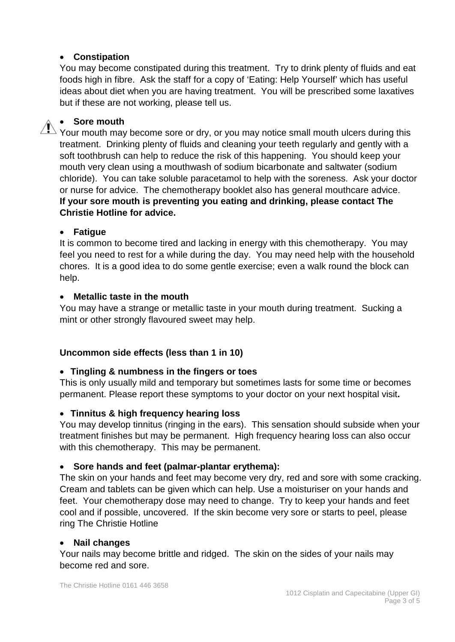#### • **Constipation**

You may become constipated during this treatment. Try to drink plenty of fluids and eat foods high in fibre. Ask the staff for a copy of 'Eating: Help Yourself' which has useful ideas about diet when you are having treatment. You will be prescribed some laxatives but if these are not working, please tell us.

### • **Sore mouth**

 $\sum$  Your mouth may become sore or dry, or you may notice small mouth ulcers during this treatment. Drinking plenty of fluids and cleaning your teeth regularly and gently with a soft toothbrush can help to reduce the risk of this happening. You should keep your mouth very clean using a mouthwash of sodium bicarbonate and saltwater (sodium chloride). You can take soluble paracetamol to help with the soreness. Ask your doctor or nurse for advice. The chemotherapy booklet also has general mouthcare advice. **If your sore mouth is preventing you eating and drinking, please contact The Christie Hotline for advice.**

#### • **Fatigue**

It is common to become tired and lacking in energy with this chemotherapy. You may feel you need to rest for a while during the day. You may need help with the household chores. It is a good idea to do some gentle exercise; even a walk round the block can help.

#### • **Metallic taste in the mouth**

You may have a strange or metallic taste in your mouth during treatment. Sucking a mint or other strongly flavoured sweet may help.

## **Uncommon side effects (less than 1 in 10)**

#### • **Tingling & numbness in the fingers or toes**

This is only usually mild and temporary but sometimes lasts for some time or becomes permanent. Please report these symptoms to your doctor on your next hospital visit**.**

## • **Tinnitus & high frequency hearing loss**

You may develop tinnitus (ringing in the ears). This sensation should subside when your treatment finishes but may be permanent. High frequency hearing loss can also occur with this chemotherapy. This may be permanent.

#### • **Sore hands and feet (palmar-plantar erythema):**

The skin on your hands and feet may become very dry, red and sore with some cracking. Cream and tablets can be given which can help. Use a moisturiser on your hands and feet. Your chemotherapy dose may need to change. Try to keep your hands and feet cool and if possible, uncovered. If the skin become very sore or starts to peel, please ring The Christie Hotline

#### • **Nail changes**

Your nails may become brittle and ridged. The skin on the sides of your nails may become red and sore.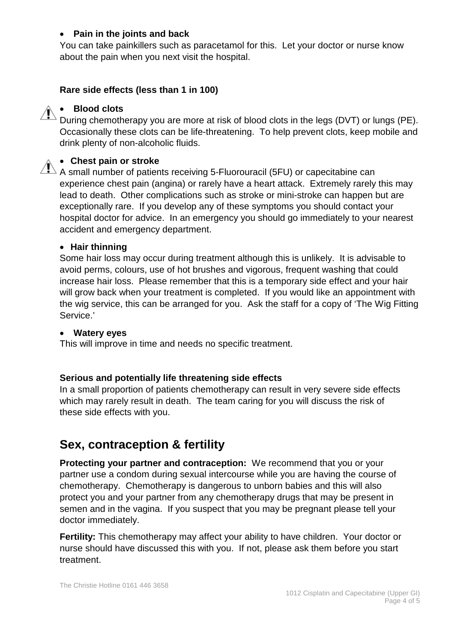#### • **Pain in the joints and back**

You can take painkillers such as paracetamol for this. Let your doctor or nurse know about the pain when you next visit the hospital.

#### **Rare side effects (less than 1 in 100)**

#### • **Blood clots**

During chemotherapy you are more at risk of blood clots in the legs (DVT) or lungs (PE). Occasionally these clots can be life-threatening. To help prevent clots, keep mobile and drink plenty of non-alcoholic fluids.

#### • **Chest pain or stroke**

 $\sqrt{N}$  A small number of patients receiving 5-Fluorouracil (5FU) or capecitabine can experience chest pain (angina) or rarely have a heart attack. Extremely rarely this may lead to death. Other complications such as stroke or mini-stroke can happen but are exceptionally rare. If you develop any of these symptoms you should contact your hospital doctor for advice. In an emergency you should go immediately to your nearest accident and emergency department.

#### • **Hair thinning**

Some hair loss may occur during treatment although this is unlikely. It is advisable to avoid perms, colours, use of hot brushes and vigorous, frequent washing that could increase hair loss. Please remember that this is a temporary side effect and your hair will grow back when your treatment is completed. If you would like an appointment with the wig service, this can be arranged for you. Ask the staff for a copy of 'The Wig Fitting Service.'

#### • **Watery eyes**

This will improve in time and needs no specific treatment.

#### **Serious and potentially life threatening side effects**

In a small proportion of patients chemotherapy can result in very severe side effects which may rarely result in death. The team caring for you will discuss the risk of these side effects with you.

# **Sex, contraception & fertility**

**Protecting your partner and contraception:** We recommend that you or your partner use a condom during sexual intercourse while you are having the course of chemotherapy. Chemotherapy is dangerous to unborn babies and this will also protect you and your partner from any chemotherapy drugs that may be present in semen and in the vagina. If you suspect that you may be pregnant please tell your doctor immediately.

**Fertility:** This chemotherapy may affect your ability to have children. Your doctor or nurse should have discussed this with you. If not, please ask them before you start treatment.